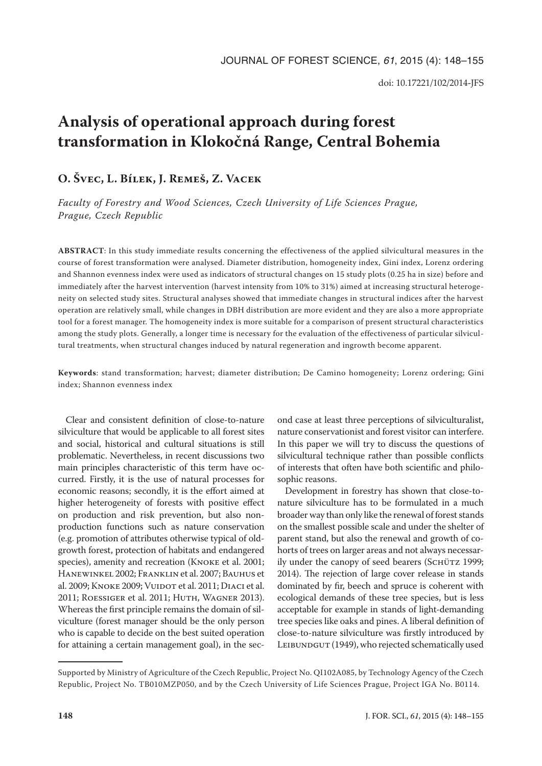# **Analysis of operational approach during forest transformation in Klokočná Range, Central Bohemia**

## **O. Švec, L. Bílek, J. Remeš, Z. Vacek**

*Faculty of Forestry and Wood Sciences, Czech University of Life Sciences Prague, Prague, Czech Republic*

**ABSTRACT**: In this study immediate results concerning the effectiveness of the applied silvicultural measures in the course of forest transformation were analysed. Diameter distribution, homogeneity index, Gini index, Lorenz ordering and Shannon evenness index were used as indicators of structural changes on 15 study plots (0.25 ha in size) before and immediately after the harvest intervention (harvest intensity from 10% to 31%) aimed at increasing structural heterogeneity on selected study sites. Structural analyses showed that immediate changes in structural indices after the harvest operation are relatively small, while changes in DBH distribution are more evident and they are also a more appropriate tool for a forest manager. The homogeneity index is more suitable for a comparison of present structural characteristics among the study plots. Generally, a longer time is necessary for the evaluation of the effectiveness of particular silvicultural treatments, when structural changes induced by natural regeneration and ingrowth become apparent.

**Keywords**: stand transformation; harvest; diameter distribution; De Camino homogeneity; Lorenz ordering; Gini index; Shannon evenness index

Clear and consistent definition of close-to-nature silviculture that would be applicable to all forest sites and social, historical and cultural situations is still problematic. Nevertheless, in recent discussions two main principles characteristic of this term have occurred. Firstly, it is the use of natural processes for economic reasons; secondly, it is the effort aimed at higher heterogeneity of forests with positive effect on production and risk prevention, but also nonproduction functions such as nature conservation (e.g. promotion of attributes otherwise typical of oldgrowth forest, protection of habitats and endangered species), amenity and recreation (Knoke et al. 2001; Hanewinkel 2002; Franklin et al. 2007; Bauhus et al. 2009; KNOKE 2009; VUIDOT et al. 2011; DIACI et al. 2011; ROESSIGER et al. 2011; HUTH, WAGNER 2013). Whereas the first principle remains the domain of silviculture (forest manager should be the only person who is capable to decide on the best suited operation for attaining a certain management goal), in the sec-

ond case at least three perceptions of silviculturalist, nature conservationist and forest visitor can interfere. In this paper we will try to discuss the questions of silvicultural technique rather than possible conflicts of interests that often have both scientific and philosophic reasons.

Development in forestry has shown that close-tonature silviculture has to be formulated in a much broader way than only like the renewal of forest stands on the smallest possible scale and under the shelter of parent stand, but also the renewal and growth of cohorts of trees on larger areas and not always necessarily under the canopy of seed bearers (SCHÜTZ 1999; 2014). The rejection of large cover release in stands dominated by fir, beech and spruce is coherent with ecological demands of these tree species, but is less acceptable for example in stands of light-demanding tree species like oaks and pines. A liberal definition of close-to-nature silviculture was firstly introduced by LEIBUNDGUT (1949), who rejected schematically used

Supported by Ministry of Agriculture of the Czech Republic, Project No. QI102A085, by Technology Agency of the Czech Republic, Project No. TB010MZP050, and by the Czech University of Life Sciences Prague, Project IGA No. B0114.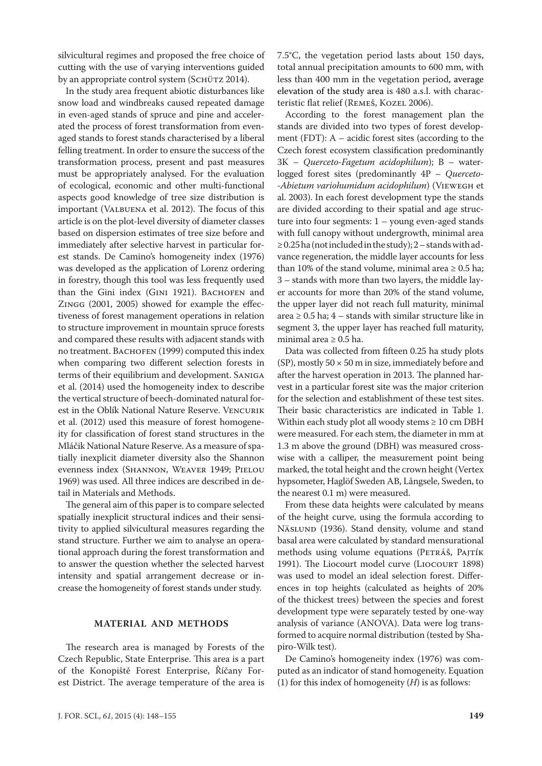silvicultural regimes and proposed the free choice of cutting with the use of varying interventions guided by an appropriate control system (Sснüтz 2014).

In the study area frequent abiotic disturbances like snow load and windbreaks caused repeated damage in even-aged stands of spruce and pine and accelerated the process of forest transformation from evenaged stands to forest stands characterised by a liberal felling treatment. In order to ensure the success of the transformation process, present and past measures must be appropriately analysed. For the evaluation of ecological, economic and other multi-functional aspects good knowledge of tree size distribution is important (Valbuena et al. 2012). The focus of this article is on the plot-level diversity of diameter classes based on dispersion estimates of tree size before and immediately after selective harvest in particular forest stands. De Camino's homogeneity index (1976) was developed as the application of Lorenz ordering in forestry, though this tool was less frequently used than the Gini index (GINI 1921). BACHOFEN and Zingg (2001, 2005) showed for example the effectiveness of forest management operations in relation to structure improvement in mountain spruce forests and compared these results with adjacent stands with no treatment. Васноғем (1999) computed this index when comparing two different selection forests in terms of their equilibrium and development. Saniga et al. (2014) used the homogeneity index to describe the vertical structure of beech-dominated natural forest in the Oblík National Nature Reserve. Vencurik et al. (2012) used this measure of forest homogeneity for classification of forest stand structures in the Mláčik National Nature Reserve. As a measure of spatially inexplicit diameter diversity also the Shannon evenness index (Shannon, Weaver 1949; Pielou 1969) was used. All three indices are described in detail in Materials and Methods.

The general aim of this paper is to compare selected spatially inexplicit structural indices and their sensitivity to applied silvicultural measures regarding the stand structure. Further we aim to analyse an operational approach during the forest transformation and to answer the question whether the selected harvest intensity and spatial arrangement decrease or increase the homogeneity of forest stands under study.

### **MATERIAL AND METHODS**

The research area is managed by Forests of the Czech Republic, State Enterprise. This area is a part of the Konopiště Forest Enterprise, Říčany Forest District. The average temperature of the area is 7.5°C, the vegetation period lasts about 150 days, total annual precipitation amounts to 600 mm, with less than 400 mm in the vegetation period, average elevation of the study area is 480 a.s.l. with characteristic flat relief (REMEŠ, KOZEL 2006).

According to the forest management plan the stands are divided into two types of forest development (FDT): A – acidic forest sites (according to the Czech forest ecosystem classification predominantly 3K – *Querceto-Fagetum acidophilum*); B – waterlogged forest sites (predominantly 4P – *Querceto- -Abietum variohumidum acidophilum*) (Viewegh et al. 2003). In each forest development type the stands are divided according to their spatial and age structure into four segments: 1 – young even-aged stands with full canopy without undergrowth, minimal area ≥ 0.25 ha (not included in the study); 2 – stands with advance regeneration, the middle layer accounts for less than 10% of the stand volume, minimal area  $\geq 0.5$  ha; 3 – stands with more than two layers, the middle layer accounts for more than 20% of the stand volume, the upper layer did not reach full maturity, minimal area  $\geq 0.5$  ha; 4 – stands with similar structure like in segment 3, the upper layer has reached full maturity, minimal area  $\geq 0.5$  ha.

Data was collected from fifteen 0.25 ha study plots (SP), mostly  $50 \times 50$  m in size, immediately before and after the harvest operation in 2013. The planned harvest in a particular forest site was the major criterion for the selection and establishment of these test sites. Their basic characteristics are indicated in Table 1. Within each study plot all woody stems  $\geq 10$  cm DBH were measured. For each stem, the diameter in mm at 1.3 m above the ground (DBH) was measured crosswise with a calliper, the measurement point being marked, the total height and the crown height (Vertex hypsometer, Haglöf Sweden AB, Långsele, Sweden, to the nearest 0.1 m) were measured.

From these data heights were calculated by means of the height curve, using the formula according to NÄSLUND (1936). Stand density, volume and stand basal area were calculated by standard mensurational methods using volume equations (PETRÁŠ, PAJTÍK 1991). The Liocourt model curve (Liocourt 1898) was used to model an ideal selection forest. Differences in top heights (calculated as heights of 20% of the thickest trees) between the species and forest development type were separately tested by one-way analysis of variance (ANOVA). Data were log transformed to acquire normal distribution (tested by Shapiro-Wilk test).

De Camino's homogeneity index (1976) was computed as an indicator of stand homogeneity. Equation (1) for this index of homogeneity (*H*) is as follows: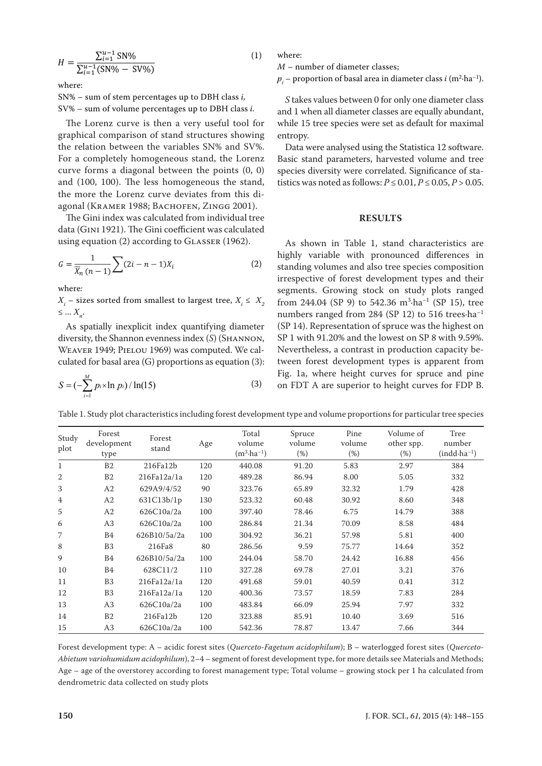$$
H = \frac{\sum_{i=1}^{u-1} \text{SN}\%}{\sum_{i=1}^{u-1} (\text{SN}\% - \text{SV}\%)}
$$
 (1)

where:

SN% – sum of stem percentages up to DBH class *i,* SV% – sum of volume percentages up to DBH class *i.*

The Lorenz curve is then a very useful tool for graphical comparison of stand structures showing the relation between the variables SN% and SV%. For a completely homogeneous stand, the Lorenz curve forms a diagonal between the points (0, 0) and (100, 100). The less homogeneous the stand, the more the Lorenz curve deviates from this diagonal (KRAMER 1988; BACHOFEN, ZINGG 2001).

The Gini index was calculated from individual tree data (Gini 1921). The Gini coefficient was calculated using equation  $(2)$  according to GLASSER  $(1962)$ .

$$
G = \frac{1}{\overline{X}_n (n-1)} \sum_{i=1}^{n} (2i - n - 1) X_i
$$
 (2)

where*:* 

 $X_i$  – sizes sorted from smallest to largest tree,  $X_i \leq X_2$  $\leq \ldots X_n$ .

As spatially inexplicit index quantifying diameter diversity, the Shannon evenness index (*S*) (SHANNON, Weaver 1949; Pielou 1969) was computed. We calculated for basal area (G) proportions as equation (3):

$$
S = (-\sum_{i=1}^{M} p_i \times \ln p_i) / \ln(15)
$$
 (3)

where:

*M* – number of diameter classes;

 $p_i$  – proportion of basal area in diameter class *i* (m<sup>2</sup>·ha<sup>-1</sup>).

*S* takes values between 0 for only one diameter class and 1 when all diameter classes are equally abundant, while 15 tree species were set as default for maximal entropy.

Data were analysed using the Statistica 12 software. Basic stand parameters, harvested volume and tree species diversity were correlated. Significance of statistics was noted as follows:  $P \le 0.01$ ,  $P \le 0.05$ ,  $P > 0.05$ .

#### **RESULTS**

As shown in Table 1, stand characteristics are highly variable with pronounced differences in standing volumes and also tree species composition irrespective of forest development types and their segments. Growing stock on study plots ranged from 244.04 (SP 9) to 542.36  $m^3$ ·ha<sup>-1</sup> (SP 15), tree numbers ranged from 284 (SP 12) to 516 trees·ha–1 (SP 14). Representation of spruce was the highest on SP 1 with 91.20% and the lowest on SP 8 with 9.59%. Nevertheless, a contrast in production capacity between forest development types is apparent from Fig. 1a, where height curves for spruce and pine on FDT A are superior to height curves for FDP B.

Table 1. Study plot characteristics including forest development type and volume proportions for particular tree species

| Study<br>plot | Forest<br>development<br>type | Forest<br>stand | Age | Total<br>volume<br>$(m^3 \cdot ha^{-1})$ | Spruce<br>volume<br>(% ) | Pine<br>volume<br>(%) | Volume of<br>other spp.<br>(%) | Tree<br>number<br>$(indd·ha^{-1})$ |
|---------------|-------------------------------|-----------------|-----|------------------------------------------|--------------------------|-----------------------|--------------------------------|------------------------------------|
| $\mathbf{1}$  | B <sub>2</sub>                | 216Fa12b        | 120 | 440.08                                   | 91.20                    | 5.83                  | 2.97                           | 384                                |
| 2             | B <sub>2</sub>                | 216Fa12a/1a     | 120 | 489.28                                   | 86.94                    | 8.00                  | 5.05                           | 332                                |
| 3             | A <sub>2</sub>                | 629A9/4/52      | 90  | 323.76                                   | 65.89                    | 32.32                 | 1.79                           | 428                                |
| 4             | A <sub>2</sub>                | 631C13b/1p      | 130 | 523.32                                   | 60.48                    | 30.92                 | 8.60                           | 348                                |
| 5             | A <sub>2</sub>                | 626C10a/2a      | 100 | 397.40                                   | 78.46                    | 6.75                  | 14.79                          | 388                                |
| 6             | A3                            | 626C10a/2a      | 100 | 286.84                                   | 21.34                    | 70.09                 | 8.58                           | 484                                |
| 7             | B <sub>4</sub>                | 626B10/5a/2a    | 100 | 304.92                                   | 36.21                    | 57.98                 | 5.81                           | 400                                |
| 8             | B <sub>3</sub>                | 216Fa8          | 80  | 286.56                                   | 9.59                     | 75.77                 | 14.64                          | 352                                |
| 9             | <b>B4</b>                     | 626B10/5a/2a    | 100 | 244.04                                   | 58.70                    | 24.42                 | 16.88                          | 456                                |
| 10            | <b>B4</b>                     | 628C11/2        | 110 | 327.28                                   | 69.78                    | 27.01                 | 3.21                           | 376                                |
| 11            | B <sub>3</sub>                | 216Fa12a/1a     | 120 | 491.68                                   | 59.01                    | 40.59                 | 0.41                           | 312                                |
| 12            | B <sub>3</sub>                | 216Fa12a/1a     | 120 | 400.36                                   | 73.57                    | 18.59                 | 7.83                           | 284                                |
| 13            | A3                            | 626C10a/2a      | 100 | 483.84                                   | 66.09                    | 25.94                 | 7.97                           | 332                                |
| 14            | B <sub>2</sub>                | 216Fa12b        | 120 | 323.88                                   | 85.91                    | 10.40                 | 3.69                           | 516                                |
| 15            | A <sub>3</sub>                | 626C10a/2a      | 100 | 542.36                                   | 78.87                    | 13.47                 | 7.66                           | 344                                |

Forest development type: A – acidic forest sites (*Querceto-Fagetum acidophilum*); B – waterlogged forest sites (*Querceto-Abietum variohumidum acidophilum*), 2–4 – segment of forest development type, for more details see Materials and Methods; Age – age of the overstorey according to forest management type; Total volume – growing stock per 1 ha calculated from dendrometric data collected on study plots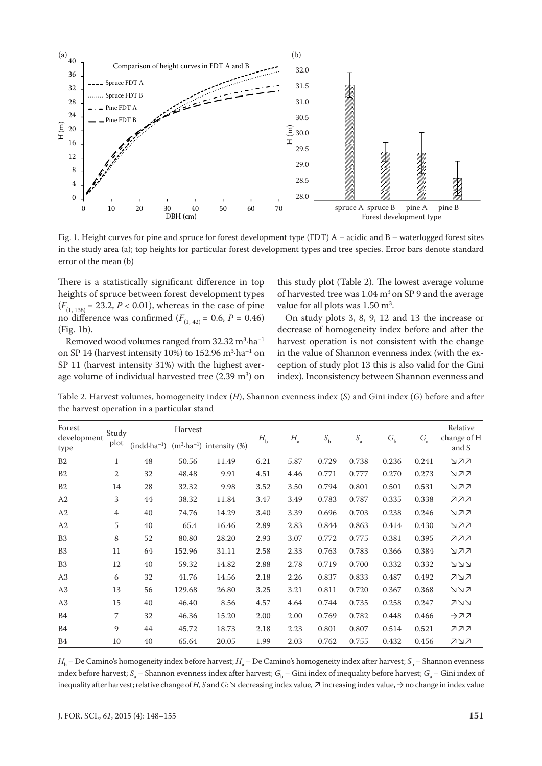

Fig. 1. Height curves for pine and spruce for forest development type (FDT) A – acidic and B – waterlogged forest sites in the study area (a); top heights for particular forest development types and tree species. Error bars denote standard error of the mean (b)

There is a statistically significant difference in top heights of spruce between forest development types  $(F_{(1, 138)} = 23.2, P < 0.01)$ , whereas in the case of pine no difference was confirmed  $(F_{(1, 42)} = 0.6, P = 0.46)$ (Fig. 1b).

Removed wood volumes ranged from 32.32  $\text{m}^3\cdot\text{ha}^{-1}$ on SP 14 (harvest intensity 10%) to 152.96  $m^3$ ·ha<sup>-1</sup> on SP 11 (harvest intensity 31%) with the highest average volume of individual harvested tree  $(2.39 \text{ m}^3)$  on

this study plot (Table 2). The lowest average volume of harvested tree was 1.04 m<sup>3</sup> on SP 9 and the average value for all plots was  $1.50 \text{ m}^3$ .

On study plots 3, 8, 9, 12 and 13 the increase or decrease of homogeneity index before and after the harvest operation is not consistent with the change in the value of Shannon evenness index (with the exception of study plot 13 this is also valid for the Gini index). Inconsistency between Shannon evenness and

Table 2. Harvest volumes, homogeneity index (*H*), Shannon evenness index (*S*) and Gini index (*G*) before and after the harvest operation in a particular stand

| Forest<br>development | Study          | Harvest          |        |                                      |             |             | $S_{\rm b}$ |             | $G_{\rm b}$ | $G_{\rm a}$ | Relative<br>change of H |  |
|-----------------------|----------------|------------------|--------|--------------------------------------|-------------|-------------|-------------|-------------|-------------|-------------|-------------------------|--|
| type                  | plot           | $(indd·ha^{-1})$ |        | $(m^3\text{-}ha^{-1})$ intensity (%) | $H_{\rm b}$ | $H_{\rm a}$ |             | $S_{\rm a}$ |             |             | and S                   |  |
| B2                    | $\mathbf{1}$   | 48               | 50.56  | 11.49                                | 6.21        | 5.87        | 0.729       | 0.738       | 0.236       | 0.241       | マスス                     |  |
| B <sub>2</sub>        | 2              | 32               | 48.48  | 9.91                                 | 4.51        | 4.46        | 0.771       | 0.777       | 0.270       | 0.273       | マスス                     |  |
| B <sub>2</sub>        | 14             | 28               | 32.32  | 9.98                                 | 3.52        | 3.50        | 0.794       | 0.801       | 0.501       | 0.531       | マスス                     |  |
| A <sub>2</sub>        | 3              | 44               | 38.32  | 11.84                                | 3.47        | 3.49        | 0.783       | 0.787       | 0.335       | 0.338       | ススス                     |  |
| A2                    | $\overline{4}$ | 40               | 74.76  | 14.29                                | 3.40        | 3.39        | 0.696       | 0.703       | 0.238       | 0.246       | マスス                     |  |
| A2                    | 5              | 40               | 65.4   | 16.46                                | 2.89        | 2.83        | 0.844       | 0.863       | 0.414       | 0.430       | マスス                     |  |
| B <sub>3</sub>        | 8              | 52               | 80.80  | 28.20                                | 2.93        | 3.07        | 0.772       | 0.775       | 0.381       | 0.395       | ススス                     |  |
| B <sub>3</sub>        | 11             | 64               | 152.96 | 31.11                                | 2.58        | 2.33        | 0.763       | 0.783       | 0.366       | 0.384       | マスス                     |  |
| B <sub>3</sub>        | 12             | 40               | 59.32  | 14.82                                | 2.88        | 2.78        | 0.719       | 0.700       | 0.332       | 0.332       | ススス                     |  |
| A3                    | 6              | 32               | 41.76  | 14.56                                | 2.18        | 2.26        | 0.837       | 0.833       | 0.487       | 0.492       | スレス                     |  |
| A3                    | 13             | 56               | 129.68 | 26.80                                | 3.25        | 3.21        | 0.811       | 0.720       | 0.367       | 0.368       | ג צע                    |  |
| A <sub>3</sub>        | 15             | 40               | 46.40  | 8.56                                 | 4.57        | 4.64        | 0.744       | 0.735       | 0.258       | 0.247       | メスス                     |  |
| <b>B4</b>             | 7              | 32               | 46.36  | 15.20                                | 2.00        | 2.00        | 0.769       | 0.782       | 0.448       | 0.466       | →スス                     |  |
| <b>B4</b>             | 9              | 44               | 45.72  | 18.73                                | 2.18        | 2.23        | 0.801       | 0.807       | 0.514       | 0.521       | ススス                     |  |
| B <sub>4</sub>        | 10             | 40               | 65.64  | 20.05                                | 1.99        | 2.03        | 0.762       | 0.755       | 0.432       | 0.456       | スレス                     |  |

 $H_{\rm b}$  – De Camino's homogeneity index before harvest;  $H_{\rm a}$  – De Camino's homogeneity index after harvest; S<sub>b</sub> – Shannon evenness index before harvest;  $S_\text{\tiny a}$  – Shannon evenness index after harvest;  $G_\text{\tiny b}$  – Gini index of inequality before harvest;  $G_\text{\tiny a}$  – Gini index of inequality after harvest; relative change of *H*, *S* and *G*: ↘ decreasing index value, ↗ increasing index value, → no change in index value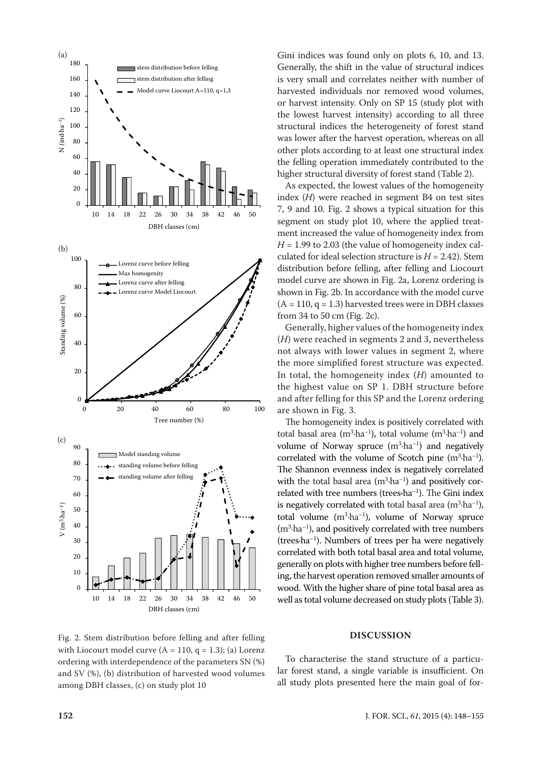

Fig. 2. Stem distribution before felling and after felling with Liocourt model curve  $(A = 110, q = 1.3)$ ; (a) Lorenz ordering with interdependence of the parameters SN (%) and SV (%), (b) distribution of harvested wood volumes among DBH classes, (c) on study plot 10

Gini indices was found only on plots 6, 10, and 13. Generally, the shift in the value of structural indices is very small and correlates neither with number of harvested individuals nor removed wood volumes, or harvest intensity. Only on SP 15 (study plot with the lowest harvest intensity) according to all three structural indices the heterogeneity of forest stand was lower after the harvest operation, whereas on all other plots according to at least one structural index the felling operation immediately contributed to the higher structural diversity of forest stand (Table 2).

As expected, the lowest values of the homogeneity index (*H*) were reached in segment B4 on test sites 7, 9 and 10. Fig. 2 shows a typical situation for this segment on study plot 10, where the applied treatment increased the value of homogeneity index from  $H = 1.99$  to 2.03 (the value of homogeneity index calculated for ideal selection structure is  $H = 2.42$ ). Stem distribution before felling, after felling and Liocourt model curve are shown in Fig. 2a, Lorenz ordering is shown in Fig. 2b. In accordance with the model curve  $(A = 110, q = 1.3)$  harvested trees were in DBH classes from 34 to 50 cm (Fig. 2c).

Generally, higher values of the homogeneity index (*H*) were reached in segments 2 and 3, nevertheless not always with lower values in segment 2, where the more simplified forest structure was expected. In total, the homogeneity index (*H*) amounted to the highest value on SP 1. DBH structure before and after felling for this SP and the Lorenz ordering are shown in Fig. 3.

The homogeneity index is positively correlated with total basal area  $(m^3 \cdot ha^{-1})$ , total volume  $(m^3 \cdot ha^{-1})$  and volume of Norway spruce  $(m^3 \cdot ha^{-1})$  and negatively correlated with the volume of Scotch pine  $(m^3 \cdot ha^{-1})$ . The Shannon evenness index is negatively correlated with the total basal area  $(m^3 \cdot ha^{-1})$  and positively correlated with tree numbers (trees**·**ha–1). The Gini index is negatively correlated with total basal area  $(m^3 \cdot ha^{-1})$ , total volume  $(m^3 \cdot ha^{-1})$ , volume of Norway spruce  $(m<sup>3</sup>·ha<sup>-1</sup>)$ , and positively correlated with tree numbers (trees $\cdot$ ha<sup>-1</sup>). Numbers of trees per ha were negatively correlated with both total basal area and total volume, generally on plots with higher tree numbers before felling, the harvest operation removed smaller amounts of wood. With the higher share of pine total basal area as well as total volume decreased on study plots (Table 3).

#### **DISCUSSION**

To characterise the stand structure of a particular forest stand, a single variable is insufficient. On all study plots presented here the main goal of for-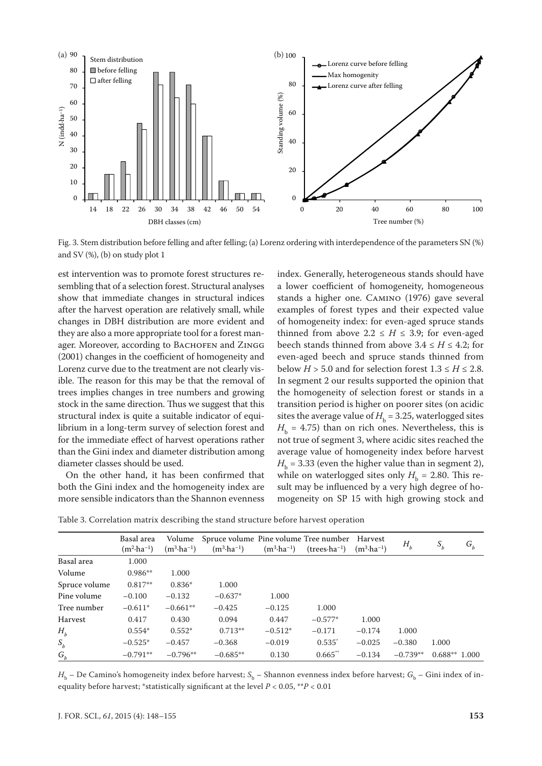

Fig. 3. Stem distribution before felling and after felling; (a) Lorenz ordering with interdependence of the parameters SN (%) and SV (%), (b) on study plot 1

est intervention was to promote forest structures resembling that of a selection forest. Structural analyses show that immediate changes in structural indices after the harvest operation are relatively small, while changes in DBH distribution are more evident and they are also a more appropriate tool for a forest manager. Moreover, according to BACHOFEN and ZINGG (2001) changes in the coefficient of homogeneity and Lorenz curve due to the treatment are not clearly visible. The reason for this may be that the removal of trees implies changes in tree numbers and growing stock in the same direction. Thus we suggest that this structural index is quite a suitable indicator of equilibrium in a long-term survey of selection forest and for the immediate effect of harvest operations rather than the Gini index and diameter distribution among diameter classes should be used.

On the other hand, it has been confirmed that both the Gini index and the homogeneity index are more sensible indicators than the Shannon evenness index. Generally, heterogeneous stands should have a lower coefficient of homogeneity, homogeneous stands a higher one. Camino (1976) gave several examples of forest types and their expected value of homogeneity index: for even-aged spruce stands thinned from above  $2.2 \leq H \leq 3.9$ ; for even-aged beech stands thinned from above  $3.4 \leq H \leq 4.2$ ; for even-aged beech and spruce stands thinned from below  $H > 5.0$  and for selection forest  $1.3 \le H \le 2.8$ . In segment 2 our results supported the opinion that the homogeneity of selection forest or stands in a transition period is higher on poorer sites (on acidic sites the average value of  $H<sub>b</sub> = 3.25$ , waterlogged sites  $H<sub>b</sub> = 4.75$ ) than on rich ones. Nevertheless, this is not true of segment 3, where acidic sites reached the average value of homogeneity index before harvest  $H<sub>b</sub> = 3.33$  (even the higher value than in segment 2), while on waterlogged sites only  $H<sub>b</sub> = 2.80$ . This result may be influenced by a very high degree of homogeneity on SP 15 with high growing stock and

|  |  | Table 3. Correlation matrix describing the stand structure before harvest operation |  |  |
|--|--|-------------------------------------------------------------------------------------|--|--|
|--|--|-------------------------------------------------------------------------------------|--|--|

|               | Basal area<br>$(m^2 \cdot ha^{-1})$ | Volume<br>$(m^3 \cdot ha^{-1})$ | Spruce volume Pine volume Tree number<br>$(m^3 \cdot ha^{-1})$ | $(m^3 \cdot ha^{-1})$ | $(trees \cdot ha^{-1})$ | Harvest<br>$(m^3 \cdot ha^{-1})$ | $H_b$      | $S_b$          | $G_b$ |
|---------------|-------------------------------------|---------------------------------|----------------------------------------------------------------|-----------------------|-------------------------|----------------------------------|------------|----------------|-------|
| Basal area    | 1.000                               |                                 |                                                                |                       |                         |                                  |            |                |       |
| Volume        | $0.986**$                           | 1.000                           |                                                                |                       |                         |                                  |            |                |       |
| Spruce volume | $0.817**$                           | $0.836*$                        | 1.000                                                          |                       |                         |                                  |            |                |       |
| Pine volume   | $-0.100$                            | $-0.132$                        | $-0.637*$                                                      | 1.000                 |                         |                                  |            |                |       |
| Tree number   | $-0.611*$                           | $-0.661**$                      | $-0.425$                                                       | $-0.125$              | 1.000                   |                                  |            |                |       |
| Harvest       | 0.417                               | 0.430                           | 0.094                                                          | 0.447                 | $-0.577*$               | 1.000                            |            |                |       |
| $H_h$         | $0.554*$                            | $0.552*$                        | $0.713**$                                                      | $-0.512*$             | $-0.171$                | $-0.174$                         | 1.000      |                |       |
| $S_b$         | $-0.525*$                           | $-0.457$                        | $-0.368$                                                       | $-0.019$              | $0.535^*$               | $-0.025$                         | $-0.380$   | 1.000          |       |
| ${\cal G}_b$  | $-0.791**$                          | $-0.796**$                      | $-0.685**$                                                     | 0.130                 | $0.665$ **              | $-0.134$                         | $-0.739**$ | $0.688**1.000$ |       |

 $H_h$  – De Camino's homogeneity index before harvest;  $S_b$  – Shannon evenness index before harvest;  $G_b$  – Gini index of inequality before harvest; \*statistically significant at the level *P* < 0.05, \*\**P* < 0.01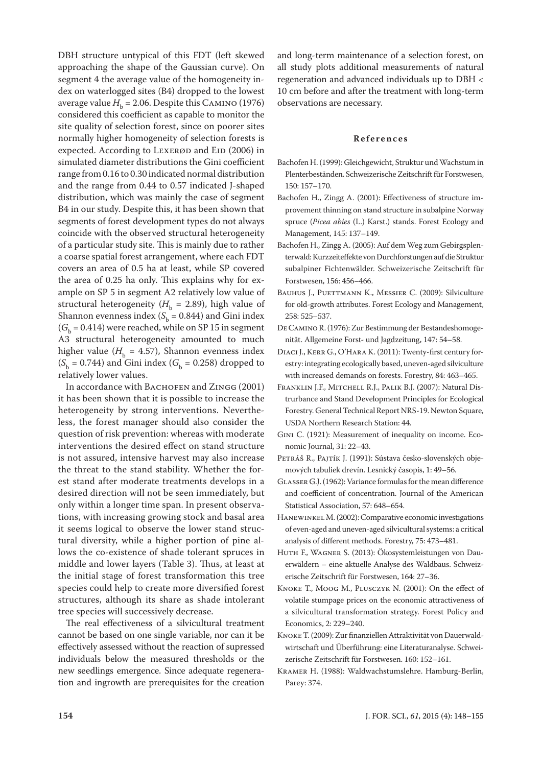DBH structure untypical of this FDT (left skewed approaching the shape of the Gaussian curve). On segment 4 the average value of the homogeneity index on waterlogged sites (B4) dropped to the lowest average value  $H_b = 2.06$ . Despite this CAMINO (1976) considered this coefficient as capable to monitor the site quality of selection forest, since on poorer sites normally higher homogeneity of selection forests is expected. According to LEXERØD and EID (2006) in simulated diameter distributions the Gini coefficient range from 0.16 to 0.30 indicated normal distribution and the range from 0.44 to 0.57 indicated J-shaped distribution, which was mainly the case of segment B4 in our study. Despite this, it has been shown that segments of forest development types do not always coincide with the observed structural heterogeneity of a particular study site. This is mainly due to rather a coarse spatial forest arrangement, where each FDT covers an area of 0.5 ha at least, while SP covered the area of 0.25 ha only. This explains why for example on SP 5 in segment A2 relatively low value of structural heterogeneity ( $H<sub>b</sub> = 2.89$ ), high value of Shannon evenness index  $(S_b = 0.844)$  and Gini index  $(G<sub>b</sub> = 0.414)$  were reached, while on SP 15 in segment A3 structural heterogeneity amounted to much higher value ( $H<sub>b</sub> = 4.57$ ), Shannon evenness index  $(S_b = 0.744)$  and Gini index ( $G_b = 0.258$ ) dropped to relatively lower values.

In accordance with BACHOFEN and ZINGG (2001) it has been shown that it is possible to increase the heterogeneity by strong interventions. Nevertheless, the forest manager should also consider the question of risk prevention: whereas with moderate interventions the desired effect on stand structure is not assured, intensive harvest may also increase the threat to the stand stability. Whether the forest stand after moderate treatments develops in a desired direction will not be seen immediately, but only within a longer time span. In present observations, with increasing growing stock and basal area it seems logical to observe the lower stand structural diversity, while a higher portion of pine allows the co-existence of shade tolerant spruces in middle and lower layers (Table 3). Thus, at least at the initial stage of forest transformation this tree species could help to create more diversified forest structures, although its share as shade intolerant tree species will successively decrease.

The real effectiveness of a silvicultural treatment cannot be based on one single variable, nor can it be effectively assessed without the reaction of supressed individuals below the measured thresholds or the new seedlings emergence. Since adequate regeneration and ingrowth are prerequisites for the creation and long-term maintenance of a selection forest, on all study plots additional measurements of natural regeneration and advanced individuals up to DBH < 10 cm before and after the treatment with long-term observations are necessary.

#### **References**

- Bachofen H. (1999): Gleichgewicht, Struktur und Wachstum in Plenterbeständen. Schweizerische Zeitschrift für Forstwesen, 150: 157–170.
- Bachofen H., Zingg A. (2001): Effectiveness of structure improvement thinning on stand structure in subalpine Norway spruce (*Picea abies* (L.) Karst.) stands. Forest Ecology and Management, 145: 137–149.
- Bachofen H., Zingg A. (2005): Auf dem Weg zum Gebirgsplenterwald: Kurzzeiteffekte von Durchforstungen auf die Struktur subalpiner Fichtenwälder. Schweizerische Zeitschrift für Forstwesen, 156: 456–466.
- BAUHUS J., PUETTMANN K., MESSIER C. (2009): Silviculture for old-growth attributes. Forest Ecology and Management, 258: 525–537.
- De Camino R. (1976): Zur Bestimmung der Bestandeshomogenität. Allgemeine Forst- und Jagdzeitung, 147: 54–58.
- Diaci J., Kerr G., O'Hara K. (2011): Twenty-first century forestry: integrating ecologically based, uneven-aged silviculture with increased demands on forests. Forestry, 84: 463–465.
- Franklin J.F., Mitchell R.J., Palik B.J. (2007): Natural Distrurbance and Stand Development Principles for Ecological Forestry. General Technical Report NRS-19. Newton Square, USDA Northern Research Station: 44.
- Gini C. (1921): Measurement of inequality on income. Economic Journal, 31: 22–43.
- PETRÁŠ R., PAJTÍK J. (1991): Sústava česko-slovenských objemových tabuliek drevín. Lesnický časopis, 1: 49–56.
- Glasser G.J. (1962): Variance formulas for the mean difference and coefficient of concentration. Journal of the American Statistical Association, 57: 648–654.
- Hanewinkel M. (2002): Comparative economic investigations of even-aged and uneven-aged silvicultural systems: a critical analysis of different methods. Forestry, 75: 473–481.
- Huth F., Wagner S. (2013): Ökosystemleistungen von Dauerwäldern – eine aktuelle Analyse des Waldbaus. Schweizerische Zeitschrift für Forstwesen, 164: 27–36.
- Knoke T., Moog M., Plusczyk N. (2001): On the effect of volatile stumpage prices on the economic attractiveness of a silvicultural transformation strategy. Forest Policy and Economics, 2: 229–240.
- Knoke T. (2009): Zur finanziellen Attraktivität von Dauerwaldwirtschaft und Überführung: eine Literaturanalyse. Schweizerische Zeitschrift für Forstwesen. 160: 152–161.
- Kramer H. (1988): Waldwachstumslehre. Hamburg-Berlin, Parey: 374.